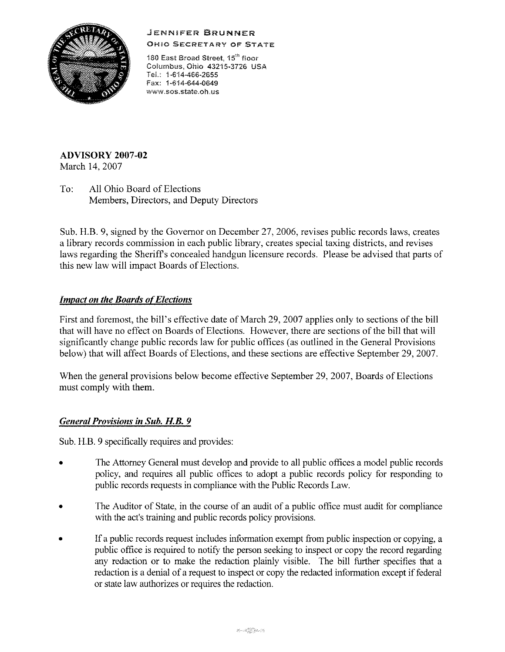# JENNIFER **BRUNNER**



**OHIO SECRETARY OF STATE** 

180 East Broad Street, 15<sup>th</sup> floor Columbus, Ohio 43215-3726 USA TeL: 1-614-466-2655 Fax: 1-614-644-0649 **www.sos.state.oh.us** 

**ADVISORY 2007-02**  March 14, 2007

To: All Ohio Board of Elections Members, Directors, and Deputy Directors

Sub, H,B, 9, signed by the Governor on December 27, 2006, revises public records laws, creates a library records commission in each public library, creates special taxing districts, and revises laws regarding the Sheriffs concealed handgun licensure records, Please be advised that parts of this new law will impact Boards of Elections,

### *Impact on the Boards of Elections*

First and foremost, the bill's effective date of March 29, 2007 applies only to sections of the **bill**  that will have no effect on Boards of Elections. However, there are sections of the bill that will significantly change public records law for public offices (as outlined in the General Provisions below) that will affect Boards of Elections, and these sections are effective September 29, 2007,

When the general provisions below become effective September 29, 2007, Boards of Elections must comply with them,

#### *General Provisions in Sub. H.B. 9*

Sub, H,B, 9 specifically requires and provides:

- The Attorney General must develop and provide to all public offices a model public records policy, and requires all public offices to adopt a public records policy for responding to public records requests in compliance with the Public Records Law,
- The Auditor of State, in the course of an audit of a public office must audit for compliance with the act's training and public records policy provisions.
- If a public records request includes information exempt from public inspection or copying, a public office is required to notify the person seeking to inspect or copy the record regarding any redaction or to make the redaction plainly visible, The bill further specifies that a redaction is a denial of a request to inspect or copy the redacted information except if federal or state law authorizes or requires the redaction,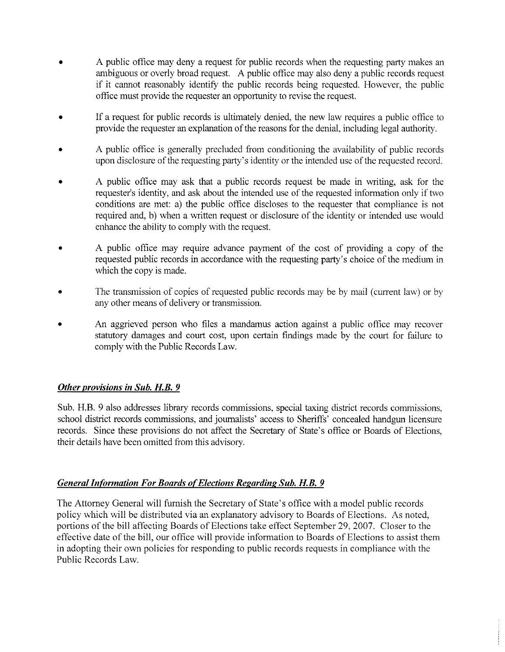- A public office may deny a request for public records when the requesting party makes an ambiguous or overly broad request. A public office may also deny a public records request if it cannot reasonably identify the public records being requested. However, the public office must provide the requester an opportunity to revise the request.
- If a request for public records is ultimately denied, the new law requires a public office to provide the requester an explanation of the reasons for the denial, including legal authority.
- A public office is generally precluded from conditioning the availability of public records upon disclosure of the requesting party's identity or the intended use of the requested record.
- A public office may ask that a public records request be made in writing, ask for the requester's identity, and ask about the intended use of the requested information only if two conditions are met: a) the public office discloses to the requester that compliance is not required and, b) when a written request or disclosure of the identity or intended use would enhance the ability to comply with the request.
- A public office may require advance payment of the cost of providing a copy of the requested public records in accordance with the requesting party's choice of the medium in which the copy is made.
- The transmission of copies of requested public records may be by mail (current law) or by any other means of delivery or transmission.
- An aggrieved person who files a mandamus action against a public office may recover statutory damages and court cost, upon certain findings made by the court for failure to comply with the Public Records Law.

## *Other provisions in Sub. H.B. 9*

Sub. H.B. 9 also addresses library records commissions, special taxing district records commissions, school district records commissions, and journalists' access to Sheriffs' concealed handgun licensure records. Since these provisions do not affect the Secretary of State's office or Boards of Elections, their details have been omitted from this advisory.

## *General Information For Boards of Elections Regarding Sub. H.B. 9*

The Attorney General will furnish the Secretary of State's office with a model public records policy which will be distributed via an explanatory advisory to Boards of Elections. As noted, portions of the bill affecting Boards of Elections take effect September 29, 2007. Closer to the effective date of the bill, our office will provide information to Boards of Elections to assist them in adopting their own policies for responding to public records requests in compliance with the Public Records Law.